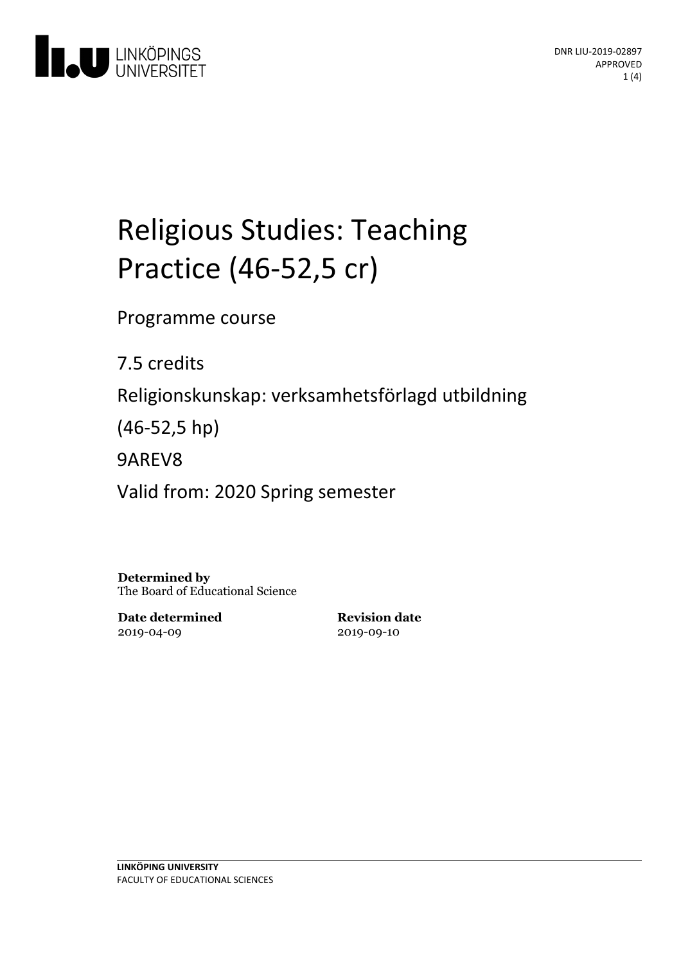

# Religious Studies: Teaching Practice (46-52,5 cr)

Programme course

7.5 credits

Religionskunskap: verksamhetsförlagd utbildning

(46-52,5 hp)

9AREV8

Valid from: 2020 Spring semester

**Determined by** The Board of Educational Science

**Date determined** 2019-04-09

**Revision date** 2019-09-10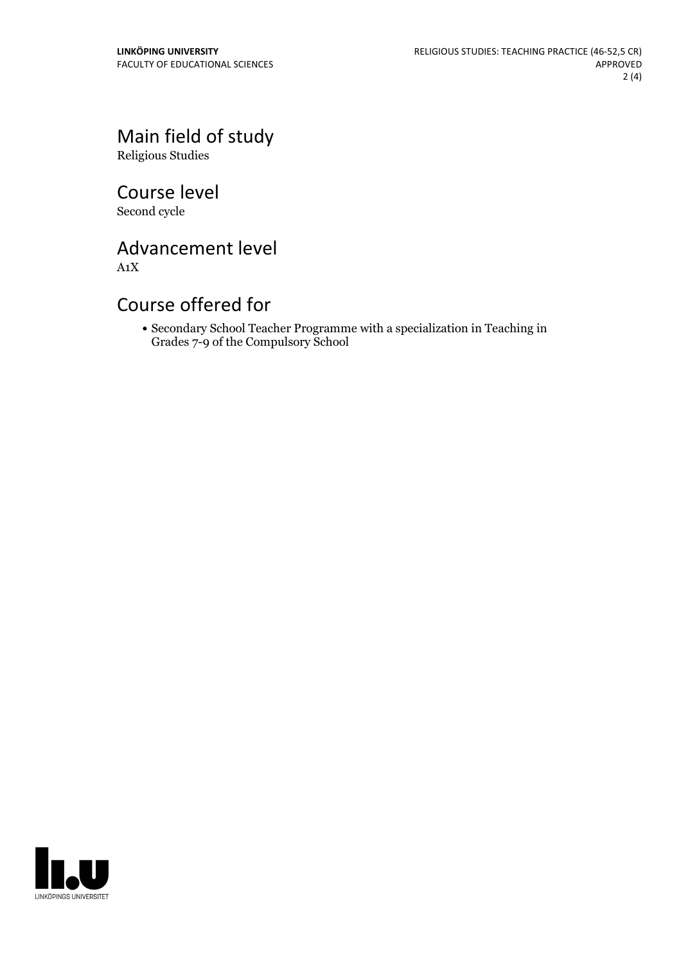## Main field of study

Religious Studies

Course level Second cycle

## Advancement level

A1X

#### Course offered for

Secondary School Teacher Programme with a specialization in Teaching in Grades 7-9 of the Compulsory School

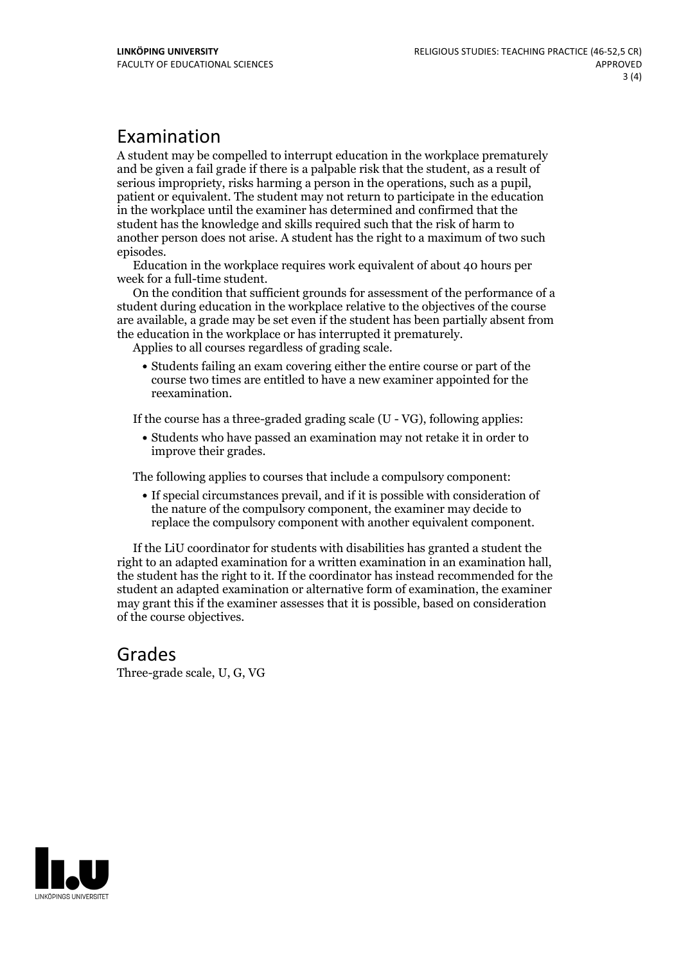#### Examination

A student may be compelled to interrupt education in the workplace prematurely and be given a failgrade if there is a palpable risk that the student, as a result of serious impropriety, risks harming <sup>a</sup> person in the operations, such as <sup>a</sup> pupil, patient or equivalent. The student may not return to participate in the education in the workplace until the examiner has determined and confirmed that the student has the knowledge and skills required such that the risk of harm to another person does not arise. A student has the right to a maximum of two such

episodes. Education in the workplace requires work equivalent of about <sup>40</sup> hours per week for <sup>a</sup> full-time student. On the condition that sufficient grounds for assessment of the performance of <sup>a</sup>

student during education in the workplace relative to the objectives of the course are available, a grade may be set even if the student has been partially absent from the education in the workplace or has interrupted it prematurely. Applies to all courses regardless of grading scale.

Students failing an exam covering either the entire course or part of the course two times are entitled to have a new examiner appointed for the reexamination.

If the course has a three-graded grading scale (U - VG), following applies:

Students who have passed an examination may not retake it in order to improve their grades.

The following applies to courses that include a compulsory component:

If special circumstances prevail, and if it is possible with consideration of the nature of the compulsory component, the examiner may decide to replace the compulsory component with another equivalent component.

If the LiU coordinator for students with disabilities has granted a student the right to an adapted examination for <sup>a</sup> written examination in an examination hall, the student has the right to it. If the coordinator has instead recommended for the student an adapted examination or alternative form of examination, the examiner may grant this if the examiner assesses that it is possible, based on consideration of the course objectives.

## Grades

Three-grade scale, U, G, VG